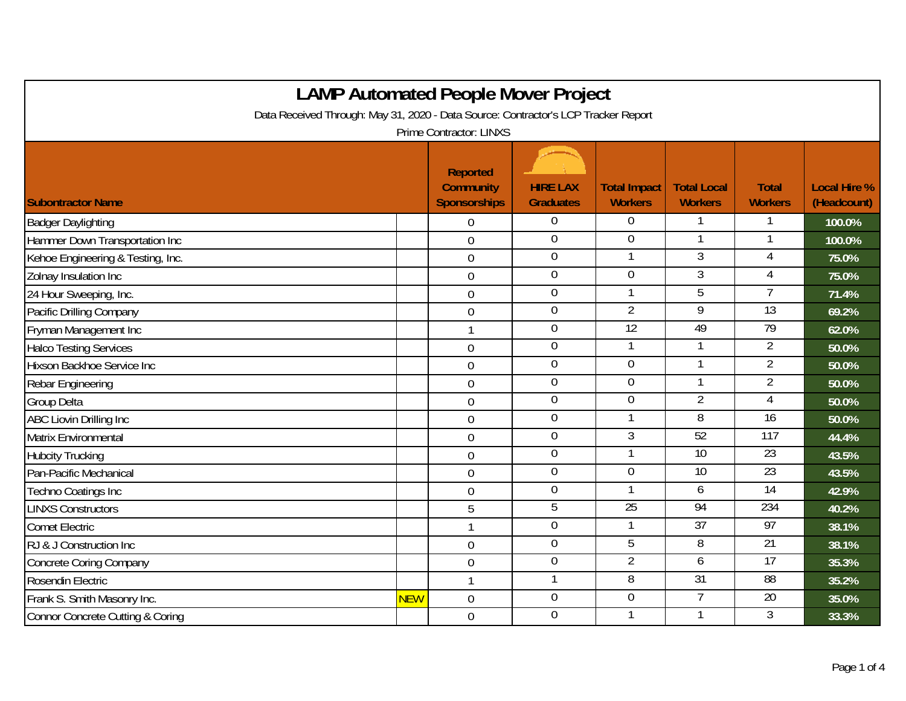| <b>LAMP Automated People Mover Project</b>                                         |            |                                                            |                                     |                                       |                                      |                                |                                    |  |
|------------------------------------------------------------------------------------|------------|------------------------------------------------------------|-------------------------------------|---------------------------------------|--------------------------------------|--------------------------------|------------------------------------|--|
| Data Received Through: May 31, 2020 - Data Source: Contractor's LCP Tracker Report |            |                                                            |                                     |                                       |                                      |                                |                                    |  |
| Prime Contractor: LINXS                                                            |            |                                                            |                                     |                                       |                                      |                                |                                    |  |
| <b>Subontractor Name</b>                                                           |            | <b>Reported</b><br><b>Community</b><br><b>Sponsorships</b> | <b>HIRE LAX</b><br><b>Graduates</b> | <b>Total Impact</b><br><b>Workers</b> | <b>Total Local</b><br><b>Workers</b> | <b>Total</b><br><b>Workers</b> | <b>Local Hire %</b><br>(Headcount) |  |
| <b>Badger Daylighting</b>                                                          |            | 0                                                          | $\boldsymbol{0}$                    | 0                                     |                                      |                                | 100.0%                             |  |
| Hammer Down Transportation Inc                                                     |            | $\mathbf 0$                                                | $\boldsymbol{0}$                    | $\overline{0}$                        | $\mathbf{1}$                         | $\mathbf{1}$                   | 100.0%                             |  |
| Kehoe Engineering & Testing, Inc.                                                  |            | $\mathbf 0$                                                | $\boldsymbol{0}$                    |                                       | 3                                    | 4                              | 75.0%                              |  |
| Zolnay Insulation Inc                                                              |            | $\overline{0}$                                             | $\overline{0}$                      | $\overline{0}$                        | $\overline{3}$                       | $\overline{4}$                 | 75.0%                              |  |
| 24 Hour Sweeping, Inc.                                                             |            | $\mathbf 0$                                                | $\mathbf 0$                         |                                       | 5                                    |                                | 71.4%                              |  |
| Pacific Drilling Company                                                           |            | $\mathbf 0$                                                | $\mathbf 0$                         | $\overline{2}$                        | $\overline{9}$                       | $\overline{13}$                | 69.2%                              |  |
| Fryman Management Inc                                                              |            | $\mathbf{1}$                                               | $\boldsymbol{0}$                    | 12                                    | 49                                   | 79                             | 62.0%                              |  |
| <b>Halco Testing Services</b>                                                      |            | $\overline{0}$                                             | $\mathbf 0$                         | 1                                     | 1                                    | $\overline{2}$                 | 50.0%                              |  |
| Hixson Backhoe Service Inc                                                         |            | $\mathbf 0$                                                | $\overline{0}$                      | $\overline{0}$                        |                                      | $\overline{2}$                 | 50.0%                              |  |
| Rebar Engineering                                                                  |            | $\boldsymbol{0}$                                           | $\boldsymbol{0}$                    | $\overline{0}$                        | $\mathbf{1}$                         | $\overline{2}$                 | 50.0%                              |  |
| Group Delta                                                                        |            | $\mathbf 0$                                                | $\boldsymbol{0}$                    | $\overline{0}$                        | $\overline{2}$                       | $\overline{4}$                 | 50.0%                              |  |
| <b>ABC Liovin Drilling Inc</b>                                                     |            | $\boldsymbol{0}$                                           | $\boldsymbol{0}$                    |                                       | 8                                    | $\overline{16}$                | 50.0%                              |  |
| Matrix Environmental                                                               |            | $\overline{0}$                                             | $\overline{0}$                      | $\overline{3}$                        | 52                                   | 117                            | 44.4%                              |  |
| <b>Hubcity Trucking</b>                                                            |            | $\overline{0}$                                             | $\boldsymbol{0}$                    |                                       | $\overline{10}$                      | $\overline{23}$                | 43.5%                              |  |
| Pan-Pacific Mechanical                                                             |            | $\mathbf 0$                                                | $\mathbf 0$                         | $\overline{0}$                        | $\overline{10}$                      | 23                             | 43.5%                              |  |
| Techno Coatings Inc                                                                |            | $\mathbf 0$                                                | $\boldsymbol{0}$                    |                                       | 6                                    | 14                             | 42.9%                              |  |
| <b>LINXS Constructors</b>                                                          |            | 5                                                          | $\overline{5}$                      | 25                                    | 94                                   | 234                            | 40.2%                              |  |
| <b>Comet Electric</b>                                                              |            | 1                                                          | $\overline{0}$                      |                                       | 37                                   | 97                             | 38.1%                              |  |
| RJ & J Construction Inc                                                            |            | $\mathbf 0$                                                | $\boldsymbol{0}$                    | 5                                     | 8                                    | $\overline{21}$                | 38.1%                              |  |
| <b>Concrete Coring Company</b>                                                     |            | $\boldsymbol{0}$                                           | $\boldsymbol{0}$                    | $\overline{2}$                        | 6                                    | 17                             | 35.3%                              |  |
| Rosendin Electric                                                                  |            | $\mathbf{1}$                                               | 1                                   | 8                                     | 31                                   | $\overline{88}$                | 35.2%                              |  |
| Frank S. Smith Masonry Inc.                                                        | <b>NEW</b> | $\mathbf 0$                                                | $\overline{0}$                      | $\overline{0}$                        | 7                                    | 20                             | 35.0%                              |  |
| <b>Connor Concrete Cutting &amp; Coring</b>                                        |            | $\mathbf 0$                                                | $\mathbf 0$                         |                                       |                                      | 3                              | 33.3%                              |  |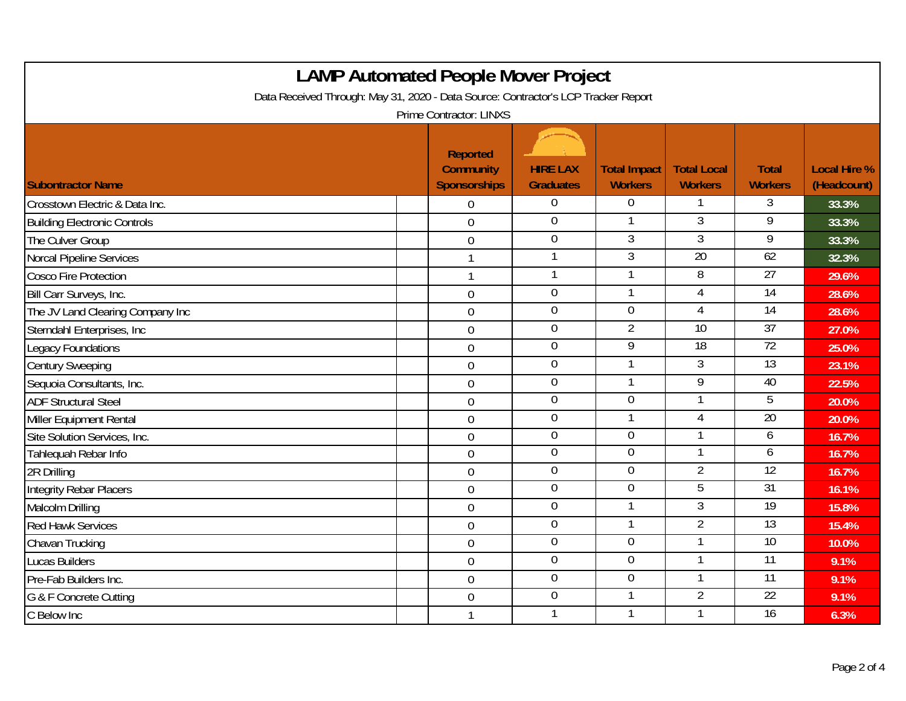| <b>LAMP Automated People Mover Project</b><br>Data Received Through: May 31, 2020 - Data Source: Contractor's LCP Tracker Report<br>Prime Contractor: LINXS |                                                            |                                     |                                       |                                      |                                |                                    |  |  |
|-------------------------------------------------------------------------------------------------------------------------------------------------------------|------------------------------------------------------------|-------------------------------------|---------------------------------------|--------------------------------------|--------------------------------|------------------------------------|--|--|
| <b>Subontractor Name</b>                                                                                                                                    | <b>Reported</b><br><b>Community</b><br><b>Sponsorships</b> | <b>HIRE LAX</b><br><b>Graduates</b> | <b>Total Impact</b><br><b>Workers</b> | <b>Total Local</b><br><b>Workers</b> | <b>Total</b><br><b>Workers</b> | <b>Local Hire %</b><br>(Headcount) |  |  |
| Crosstown Electric & Data Inc.                                                                                                                              | $\overline{0}$                                             | $\overline{0}$                      | $\overline{0}$                        |                                      | 3                              | 33.3%                              |  |  |
| <b>Building Electronic Controls</b>                                                                                                                         | $\overline{0}$                                             | $\pmb{0}$                           |                                       | $\overline{3}$                       | 9                              | 33.3%                              |  |  |
| The Culver Group                                                                                                                                            | $\overline{0}$                                             | $\mathbf 0$                         | 3                                     | 3                                    | 9                              | 33.3%                              |  |  |
| Norcal Pipeline Services                                                                                                                                    | $\mathbf{1}$                                               | $\mathbf{1}$                        | 3                                     | 20                                   | 62                             | 32.3%                              |  |  |
| <b>Cosco Fire Protection</b>                                                                                                                                |                                                            | $\mathbf{1}$                        | 1                                     | 8                                    | 27                             | 29.6%                              |  |  |
| Bill Carr Surveys, Inc.                                                                                                                                     | $\overline{0}$                                             | $\overline{0}$                      | 1                                     | 4                                    | 14                             | 28.6%                              |  |  |
| The JV Land Clearing Company Inc                                                                                                                            | $\overline{0}$                                             | $\boldsymbol{0}$                    | $\mathbf 0$                           | 4                                    | $\overline{14}$                | 28.6%                              |  |  |
| Sterndahl Enterprises, Inc                                                                                                                                  | $\overline{0}$                                             | $\mathbf 0$                         | $\overline{2}$                        | 10                                   | 37                             | 27.0%                              |  |  |
| Legacy Foundations                                                                                                                                          | $\overline{0}$                                             | $\overline{0}$                      | $\overline{9}$                        | 18                                   | 72                             | 25.0%                              |  |  |
| <b>Century Sweeping</b>                                                                                                                                     | $\mathbf 0$                                                | $\overline{0}$                      |                                       | 3                                    | 13                             | 23.1%                              |  |  |
| Sequoia Consultants, Inc.                                                                                                                                   | $\mathbf 0$                                                | $\mathbf 0$                         | $\mathbf{1}$                          | $\overline{9}$                       | 40                             | 22.5%                              |  |  |
| <b>ADF Structural Steel</b>                                                                                                                                 | $\overline{0}$                                             | $\mathbf 0$                         | $\overline{0}$                        |                                      | 5                              | 20.0%                              |  |  |
| Miller Equipment Rental                                                                                                                                     | $\mathbf 0$                                                | $\overline{0}$                      |                                       | $\overline{4}$                       | 20                             | 20.0%                              |  |  |
| Site Solution Services, Inc.                                                                                                                                | $\overline{0}$                                             | $\overline{0}$                      | $\overline{0}$                        |                                      | 6                              | 16.7%                              |  |  |
| Tahlequah Rebar Info                                                                                                                                        | $\overline{0}$                                             | $\overline{0}$                      | $\overline{0}$                        |                                      | 6                              | 16.7%                              |  |  |
| 2R Drilling                                                                                                                                                 | $\overline{0}$                                             | $\pmb{0}$                           | $\mathbf 0$                           | 2                                    | 12                             | 16.7%                              |  |  |
| <b>Integrity Rebar Placers</b>                                                                                                                              | $\mathbf 0$                                                | $\overline{0}$                      | $\mathbf 0$                           | $\overline{5}$                       | $\overline{31}$                | 16.1%                              |  |  |
| Malcolm Drilling                                                                                                                                            | $\mathbf 0$                                                | $\boldsymbol{0}$                    | $\mathbf{1}$                          | $\overline{3}$                       | 19                             | 15.8%                              |  |  |
| <b>Red Hawk Services</b>                                                                                                                                    | $\overline{0}$                                             | $\overline{0}$                      |                                       | $\overline{2}$                       | 13                             | 15.4%                              |  |  |
| Chavan Trucking                                                                                                                                             | $\mathbf 0$                                                | $\overline{0}$                      | $\overline{0}$                        |                                      | 10                             | 10.0%                              |  |  |
| <b>Lucas Builders</b>                                                                                                                                       | $\mathbf 0$                                                | $\overline{0}$                      | $\overline{0}$                        |                                      | 11                             | 9.1%                               |  |  |
| Pre-Fab Builders Inc.                                                                                                                                       | $\overline{0}$                                             | $\boldsymbol{0}$                    | $\overline{0}$                        | $\mathbf{1}$                         | 11                             | 9.1%                               |  |  |
| G & F Concrete Cutting                                                                                                                                      | $\mathbf 0$                                                | $\overline{0}$                      |                                       | $\overline{2}$                       | 22                             | 9.1%                               |  |  |
| C Below Inc                                                                                                                                                 |                                                            | 1                                   |                                       |                                      | 16                             | 6.3%                               |  |  |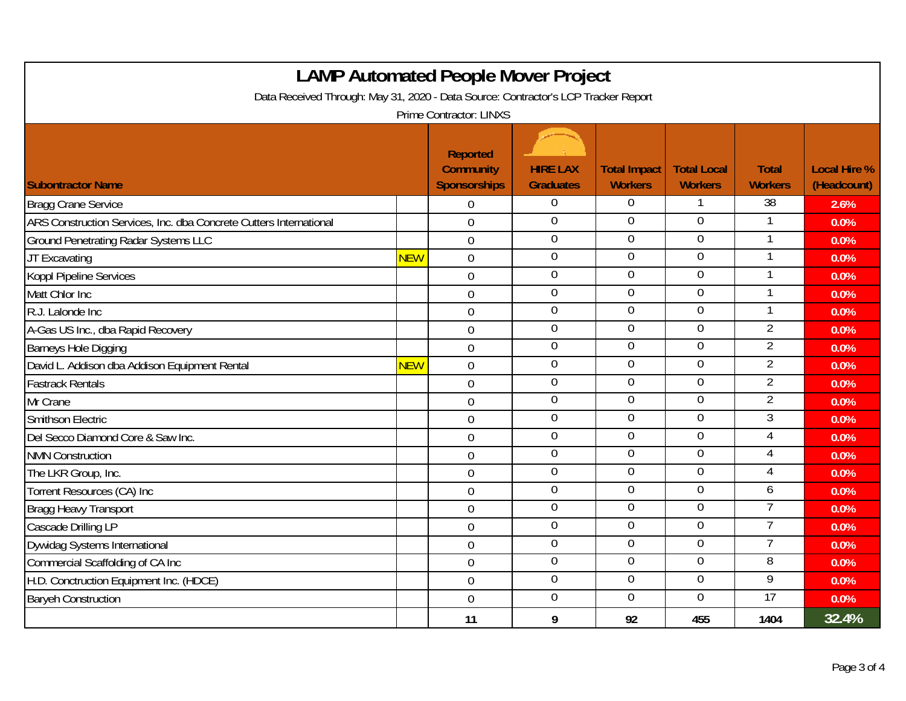| <b>LAMP Automated People Mover Project</b><br>Data Received Through: May 31, 2020 - Data Source: Contractor's LCP Tracker Report |            |                                                     |                                     |                                       |                                      |                                |                                    |  |
|----------------------------------------------------------------------------------------------------------------------------------|------------|-----------------------------------------------------|-------------------------------------|---------------------------------------|--------------------------------------|--------------------------------|------------------------------------|--|
|                                                                                                                                  |            | <b>Prime Contractor: LINXS</b>                      |                                     |                                       |                                      |                                |                                    |  |
| <b>Subontractor Name</b>                                                                                                         |            | Reported<br><b>Community</b><br><b>Sponsorships</b> | <b>HIRE LAX</b><br><b>Graduates</b> | <b>Total Impact</b><br><b>Workers</b> | <b>Total Local</b><br><b>Workers</b> | <b>Total</b><br><b>Workers</b> | <b>Local Hire %</b><br>(Headcount) |  |
| <b>Bragg Crane Service</b>                                                                                                       |            | $\Omega$                                            | $\boldsymbol{0}$                    | 0                                     |                                      | 38                             | 2.6%                               |  |
| ARS Construction Services, Inc. dba Concrete Cutters International                                                               |            | $\overline{0}$                                      | $\mathbf 0$                         | $\overline{0}$                        | $\overline{0}$                       |                                | 0.0%                               |  |
| <b>Ground Penetrating Radar Systems LLC</b>                                                                                      |            | $\overline{0}$                                      | $\overline{0}$                      | $\overline{0}$                        | $\overline{0}$                       | 1                              | 0.0%                               |  |
| JT Excavating                                                                                                                    | <b>NEW</b> | $\overline{0}$                                      | $\mathbf 0$                         | $\Omega$                              | $\overline{0}$                       |                                | 0.0%                               |  |
| Koppl Pipeline Services                                                                                                          |            | $\overline{0}$                                      | $\pmb{0}$                           | $\overline{0}$                        | $\mathbf 0$                          |                                | 0.0%                               |  |
| Matt Chlor Inc                                                                                                                   |            | $\mathbf 0$                                         | $\overline{0}$                      | $\mathbf 0$                           | $\overline{0}$                       | 1                              | 0.0%                               |  |
| R.J. Lalonde Inc                                                                                                                 |            | $\overline{0}$                                      | $\overline{0}$                      | $\overline{0}$                        | $\overline{0}$                       | 1                              | 0.0%                               |  |
| A-Gas US Inc., dba Rapid Recovery                                                                                                |            | $\overline{0}$                                      | $\overline{0}$                      | $\overline{0}$                        | $\overline{0}$                       | $\overline{2}$                 | 0.0%                               |  |
| Barneys Hole Digging                                                                                                             |            | $\overline{0}$                                      | $\overline{0}$                      | $\overline{0}$                        | $\overline{0}$                       | $\overline{2}$                 | 0.0%                               |  |
| David L. Addison dba Addison Equipment Rental                                                                                    | <b>NEW</b> | $\mathbf 0$                                         | $\mathbf 0$                         | $\Omega$                              | $\Omega$                             | $\overline{2}$                 | 0.0%                               |  |
| <b>Fastrack Rentals</b>                                                                                                          |            | $\overline{0}$                                      | $\boldsymbol{0}$                    | $\mathbf 0$                           | $\mathbf 0$                          | $\overline{2}$                 | 0.0%                               |  |
| Mr Crane                                                                                                                         |            | $\overline{0}$                                      | $\pmb{0}$                           | $\mathbf 0$                           | $\overline{0}$                       | $\overline{2}$                 | 0.0%                               |  |
| Smithson Electric                                                                                                                |            | $\mathbf 0$                                         | $\mathbf 0$                         | $\Omega$                              | $\overline{0}$                       | 3                              | 0.0%                               |  |
| Del Secco Diamond Core & Saw Inc.                                                                                                |            | $\overline{0}$                                      | $\overline{0}$                      | $\overline{0}$                        | $\overline{0}$                       | 4                              | 0.0%                               |  |
| <b>NMN Construction</b>                                                                                                          |            | $\overline{0}$                                      | $\overline{0}$                      | $\overline{0}$                        | $\overline{0}$                       | 4                              | 0.0%                               |  |
| The LKR Group, Inc.                                                                                                              |            | $\boldsymbol{0}$                                    | $\overline{0}$                      | $\overline{0}$                        | $\overline{0}$                       | 4                              | 0.0%                               |  |
| Torrent Resources (CA) Inc                                                                                                       |            | $\mathbf 0$                                         | $\pmb{0}$                           | $\mathbf 0$                           | $\mathbf 0$                          | 6                              | 0.0%                               |  |
| <b>Bragg Heavy Transport</b>                                                                                                     |            | $\overline{0}$                                      | $\pmb{0}$                           | $\mathbf 0$                           | $\overline{0}$                       | 7                              | 0.0%                               |  |
| Cascade Drilling LP                                                                                                              |            | $\mathbf 0$                                         | $\overline{0}$                      | $\overline{0}$                        | $\overline{0}$                       | 7                              | 0.0%                               |  |
| Dywidag Systems International                                                                                                    |            | $\mathbf 0$                                         | $\overline{0}$                      | $\overline{0}$                        | $\overline{0}$                       | 7                              | 0.0%                               |  |
| Commercial Scaffolding of CA Inc                                                                                                 |            | $\overline{0}$                                      | $\mathbf 0$                         | $\Omega$                              | $\overline{0}$                       | 8                              | 0.0%                               |  |
| H.D. Conctruction Equipment Inc. (HDCE)                                                                                          |            | $\mathbf 0$                                         | $\overline{0}$                      | $\overline{0}$                        | $\overline{0}$                       | 9                              | 0.0%                               |  |
| <b>Baryeh Construction</b>                                                                                                       |            | $\overline{0}$                                      | $\pmb{0}$                           | $\overline{0}$                        | $\overline{0}$                       | $\overline{17}$                | 0.0%                               |  |
|                                                                                                                                  |            | 11                                                  | 9                                   | 92                                    | 455                                  | 1404                           | 32.4%                              |  |